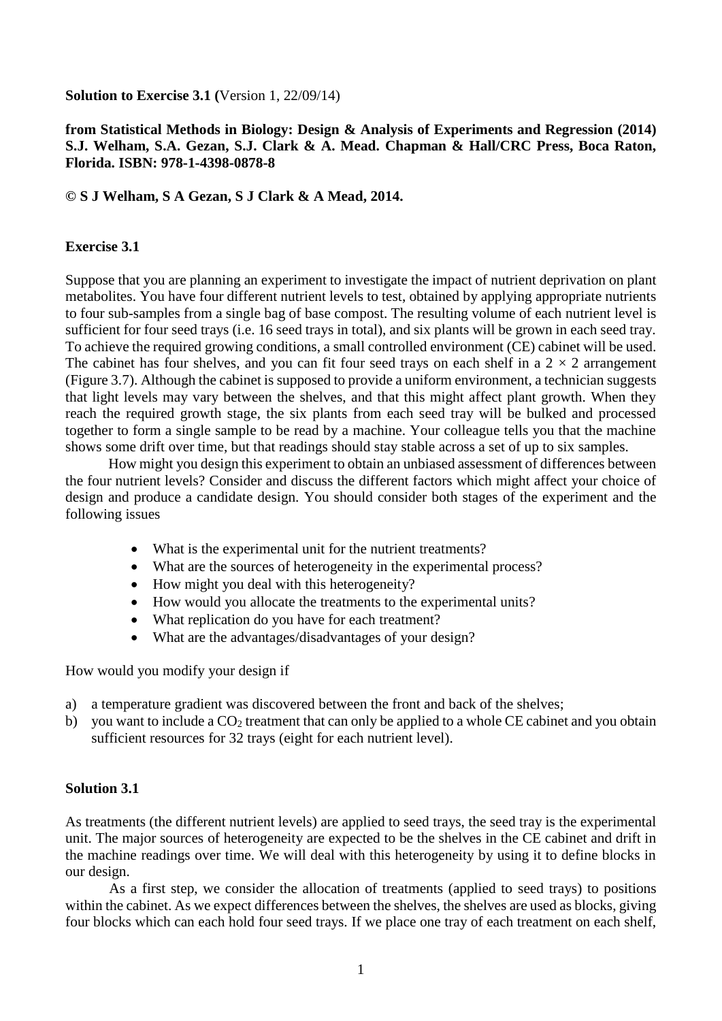**Solution to Exercise 3.1 (**Version 1, 22/09/14)

## **from Statistical Methods in Biology: Design & Analysis of Experiments and Regression (2014) S.J. Welham, S.A. Gezan, S.J. Clark & A. Mead. Chapman & Hall/CRC Press, Boca Raton, Florida. ISBN: 978-1-4398-0878-8**

## **© S J Welham, S A Gezan, S J Clark & A Mead, 2014.**

## **Exercise 3.1**

Suppose that you are planning an experiment to investigate the impact of nutrient deprivation on plant metabolites. You have four different nutrient levels to test, obtained by applying appropriate nutrients to four sub-samples from a single bag of base compost. The resulting volume of each nutrient level is sufficient for four seed trays (i.e. 16 seed trays in total), and six plants will be grown in each seed tray. To achieve the required growing conditions, a small controlled environment (CE) cabinet will be used. The cabinet has four shelves, and you can fit four seed trays on each shelf in a  $2 \times 2$  arrangement (Figure 3.7). Although the cabinet is supposed to provide a uniform environment, a technician suggests that light levels may vary between the shelves, and that this might affect plant growth. When they reach the required growth stage, the six plants from each seed tray will be bulked and processed together to form a single sample to be read by a machine. Your colleague tells you that the machine shows some drift over time, but that readings should stay stable across a set of up to six samples.

How might you design this experiment to obtain an unbiased assessment of differences between the four nutrient levels? Consider and discuss the different factors which might affect your choice of design and produce a candidate design. You should consider both stages of the experiment and the following issues

- What is the experimental unit for the nutrient treatments?
- What are the sources of heterogeneity in the experimental process?
- How might you deal with this heterogeneity?
- How would you allocate the treatments to the experimental units?
- What replication do you have for each treatment?
- What are the advantages/disadvantages of your design?

How would you modify your design if

- a) a temperature gradient was discovered between the front and back of the shelves;
- b) you want to include a  $CO<sub>2</sub>$  treatment that can only be applied to a whole CE cabinet and you obtain sufficient resources for 32 trays (eight for each nutrient level).

## **Solution 3.1**

As treatments (the different nutrient levels) are applied to seed trays, the seed tray is the experimental unit. The major sources of heterogeneity are expected to be the shelves in the CE cabinet and drift in the machine readings over time. We will deal with this heterogeneity by using it to define blocks in our design.

As a first step, we consider the allocation of treatments (applied to seed trays) to positions within the cabinet. As we expect differences between the shelves, the shelves are used as blocks, giving four blocks which can each hold four seed trays. If we place one tray of each treatment on each shelf,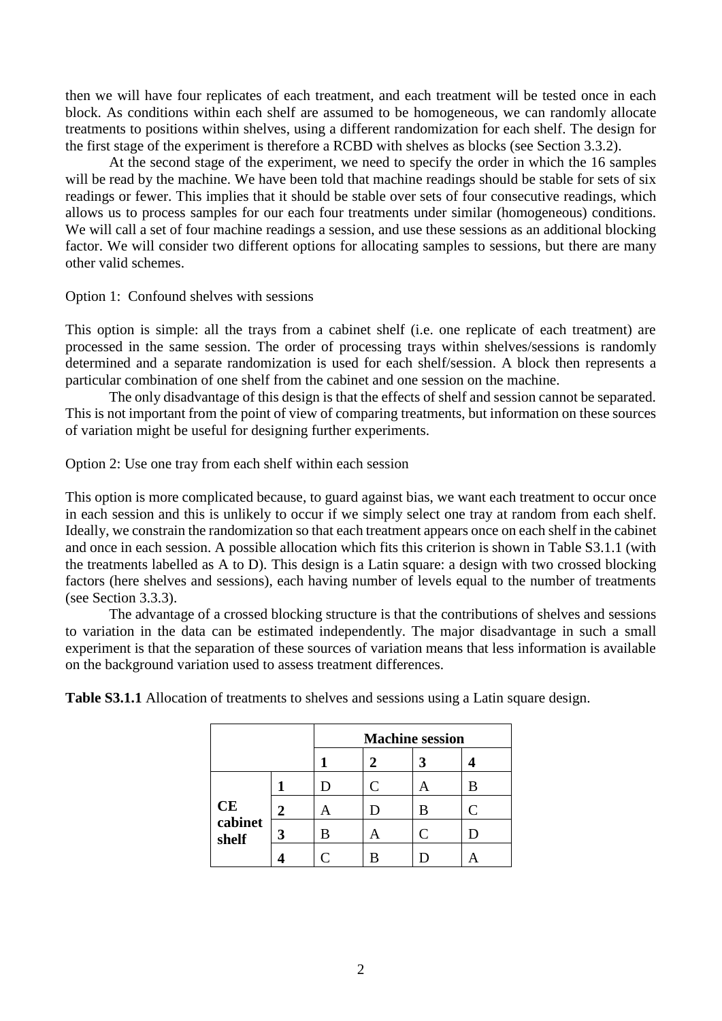then we will have four replicates of each treatment, and each treatment will be tested once in each block. As conditions within each shelf are assumed to be homogeneous, we can randomly allocate treatments to positions within shelves, using a different randomization for each shelf. The design for the first stage of the experiment is therefore a RCBD with shelves as blocks (see Section 3.3.2).

At the second stage of the experiment, we need to specify the order in which the 16 samples will be read by the machine. We have been told that machine readings should be stable for sets of six readings or fewer. This implies that it should be stable over sets of four consecutive readings, which allows us to process samples for our each four treatments under similar (homogeneous) conditions. We will call a set of four machine readings a session, and use these sessions as an additional blocking factor. We will consider two different options for allocating samples to sessions, but there are many other valid schemes.

Option 1: Confound shelves with sessions

This option is simple: all the trays from a cabinet shelf (i.e. one replicate of each treatment) are processed in the same session. The order of processing trays within shelves/sessions is randomly determined and a separate randomization is used for each shelf/session. A block then represents a particular combination of one shelf from the cabinet and one session on the machine.

The only disadvantage of this design is that the effects of shelf and session cannot be separated. This is not important from the point of view of comparing treatments, but information on these sources of variation might be useful for designing further experiments.

Option 2: Use one tray from each shelf within each session

This option is more complicated because, to guard against bias, we want each treatment to occur once in each session and this is unlikely to occur if we simply select one tray at random from each shelf. Ideally, we constrain the randomization so that each treatment appears once on each shelf in the cabinet and once in each session. A possible allocation which fits this criterion is shown in Table S3.1.1 (with the treatments labelled as A to D). This design is a Latin square: a design with two crossed blocking factors (here shelves and sessions), each having number of levels equal to the number of treatments (see Section 3.3.3).

The advantage of a crossed blocking structure is that the contributions of shelves and sessions to variation in the data can be estimated independently. The major disadvantage in such a small experiment is that the separation of these sources of variation means that less information is available on the background variation used to assess treatment differences.

|               |   | <b>Machine session</b> |   |   |   |
|---------------|---|------------------------|---|---|---|
|               |   |                        |   |   |   |
|               |   |                        | C |   | В |
| CE<br>cabinet |   |                        |   | В | C |
| shelf         | 3 | В                      |   |   |   |
|               |   |                        |   |   |   |

**Table S3.1.1** Allocation of treatments to shelves and sessions using a Latin square design.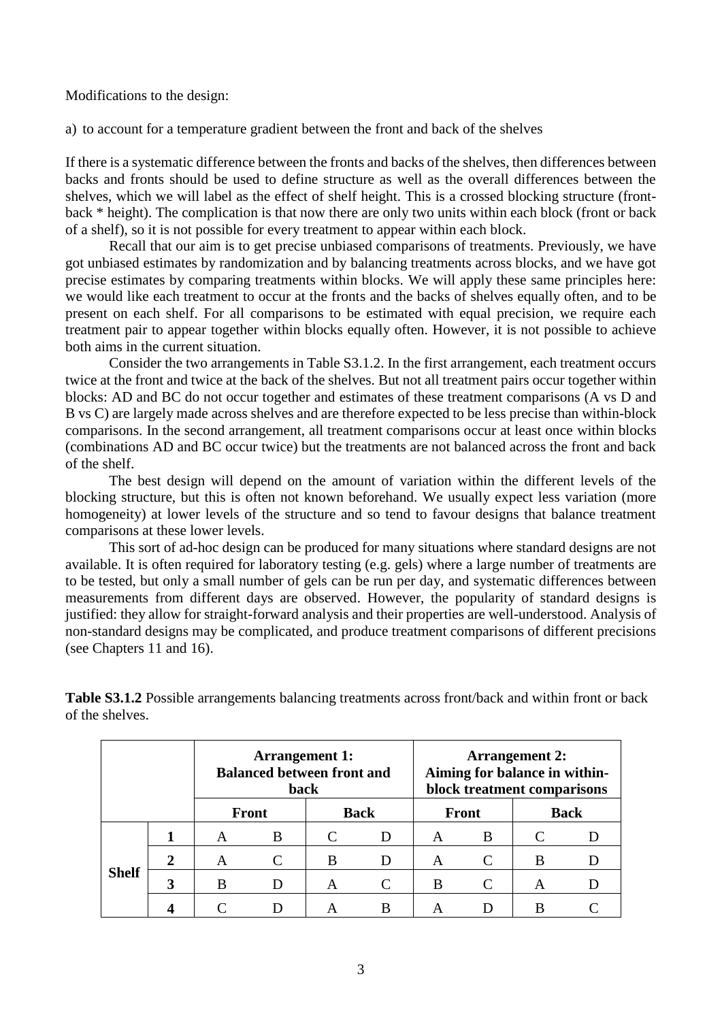Modifications to the design:

a) to account for a temperature gradient between the front and back of the shelves

If there is a systematic difference between the fronts and backs of the shelves, then differences between backs and fronts should be used to define structure as well as the overall differences between the shelves, which we will label as the effect of shelf height. This is a crossed blocking structure (frontback \* height). The complication is that now there are only two units within each block (front or back of a shelf), so it is not possible for every treatment to appear within each block.

Recall that our aim is to get precise unbiased comparisons of treatments. Previously, we have got unbiased estimates by randomization and by balancing treatments across blocks, and we have got precise estimates by comparing treatments within blocks. We will apply these same principles here: we would like each treatment to occur at the fronts and the backs of shelves equally often, and to be present on each shelf. For all comparisons to be estimated with equal precision, we require each treatment pair to appear together within blocks equally often. However, it is not possible to achieve both aims in the current situation.

Consider the two arrangements in Table S3.1.2. In the first arrangement, each treatment occurs twice at the front and twice at the back of the shelves. But not all treatment pairs occur together within blocks: AD and BC do not occur together and estimates of these treatment comparisons (A vs D and B vs C) are largely made across shelves and are therefore expected to be less precise than within-block comparisons. In the second arrangement, all treatment comparisons occur at least once within blocks (combinations AD and BC occur twice) but the treatments are not balanced across the front and back of the shelf.

The best design will depend on the amount of variation within the different levels of the blocking structure, but this is often not known beforehand. We usually expect less variation (more homogeneity) at lower levels of the structure and so tend to favour designs that balance treatment comparisons at these lower levels.

This sort of ad-hoc design can be produced for many situations where standard designs are not available. It is often required for laboratory testing (e.g. gels) where a large number of treatments are to be tested, but only a small number of gels can be run per day, and systematic differences between measurements from different days are observed. However, the popularity of standard designs is justified: they allow for straight-forward analysis and their properties are well-understood. Analysis of non-standard designs may be complicated, and produce treatment comparisons of different precisions (see Chapters 11 and 16).

**Table S3.1.2** Possible arrangements balancing treatments across front/back and within front or back of the shelves.

|              |  | <b>Arrangement 1:</b><br><b>Balanced between front and</b><br><b>back</b> |              |             |   | <b>Arrangement 2:</b><br>Aiming for balance in within-<br>block treatment comparisons |   |             |  |
|--------------|--|---------------------------------------------------------------------------|--------------|-------------|---|---------------------------------------------------------------------------------------|---|-------------|--|
|              |  |                                                                           | <b>Front</b> | <b>Back</b> |   | <b>Front</b>                                                                          |   | <b>Back</b> |  |
|              |  |                                                                           |              |             |   | A                                                                                     | B |             |  |
| <b>Shelf</b> |  |                                                                           |              | B           | D | A                                                                                     |   | B           |  |
|              |  | B                                                                         |              | A           |   | B                                                                                     |   | A           |  |
|              |  |                                                                           |              |             |   |                                                                                       |   |             |  |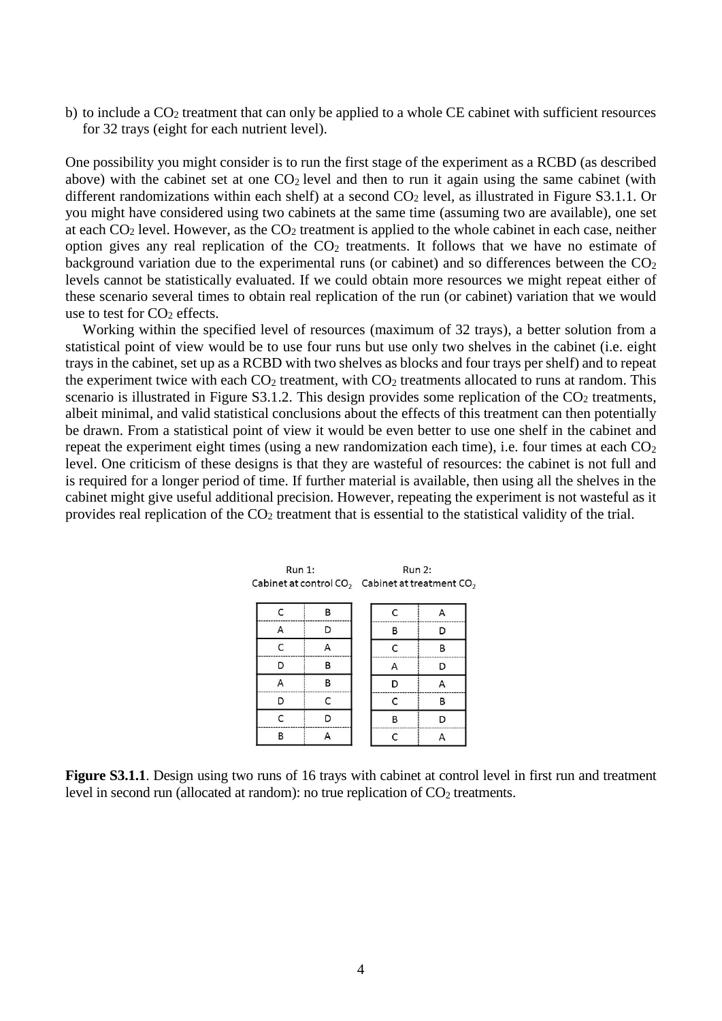b) to include a CO<sup>2</sup> treatment that can only be applied to a whole CE cabinet with sufficient resources for 32 trays (eight for each nutrient level).

One possibility you might consider is to run the first stage of the experiment as a RCBD (as described above) with the cabinet set at one  $CO<sub>2</sub>$  level and then to run it again using the same cabinet (with different randomizations within each shelf) at a second  $CO<sub>2</sub>$  level, as illustrated in Figure S3.1.1. Or you might have considered using two cabinets at the same time (assuming two are available), one set at each  $CO<sub>2</sub>$  level. However, as the  $CO<sub>2</sub>$  treatment is applied to the whole cabinet in each case, neither option gives any real replication of the  $CO<sub>2</sub>$  treatments. It follows that we have no estimate of background variation due to the experimental runs (or cabinet) and so differences between the  $CO<sub>2</sub>$ levels cannot be statistically evaluated. If we could obtain more resources we might repeat either of these scenario several times to obtain real replication of the run (or cabinet) variation that we would use to test for  $CO<sub>2</sub>$  effects.

Working within the specified level of resources (maximum of 32 trays), a better solution from a statistical point of view would be to use four runs but use only two shelves in the cabinet (i.e. eight trays in the cabinet, set up as a RCBD with two shelves as blocks and four trays per shelf) and to repeat the experiment twice with each  $CO<sub>2</sub>$  treatment, with  $CO<sub>2</sub>$  treatments allocated to runs at random. This scenario is illustrated in Figure S3.1.2. This design provides some replication of the  $CO<sub>2</sub>$  treatments, albeit minimal, and valid statistical conclusions about the effects of this treatment can then potentially be drawn. From a statistical point of view it would be even better to use one shelf in the cabinet and repeat the experiment eight times (using a new randomization each time), i.e. four times at each  $CO<sub>2</sub>$ level. One criticism of these designs is that they are wasteful of resources: the cabinet is not full and is required for a longer period of time. If further material is available, then using all the shelves in the cabinet might give useful additional precision. However, repeating the experiment is not wasteful as it provides real replication of the  $CO<sub>2</sub>$  treatment that is essential to the statistical validity of the trial.

|   |   | Cabinet at control $CO2$ Cabinet at treatment $CO2$ |   |
|---|---|-----------------------------------------------------|---|
| C | R |                                                     |   |
|   |   | в                                                   | ח |
|   |   |                                                     |   |
|   | B | A                                                   | D |
|   |   |                                                     |   |
|   |   |                                                     |   |
|   |   | в                                                   |   |
|   |   |                                                     |   |

 $Run 2:$ 

 $Run 1:$ 

**Figure S3.1.1**. Design using two runs of 16 trays with cabinet at control level in first run and treatment level in second run (allocated at random): no true replication of  $CO<sub>2</sub>$  treatments.